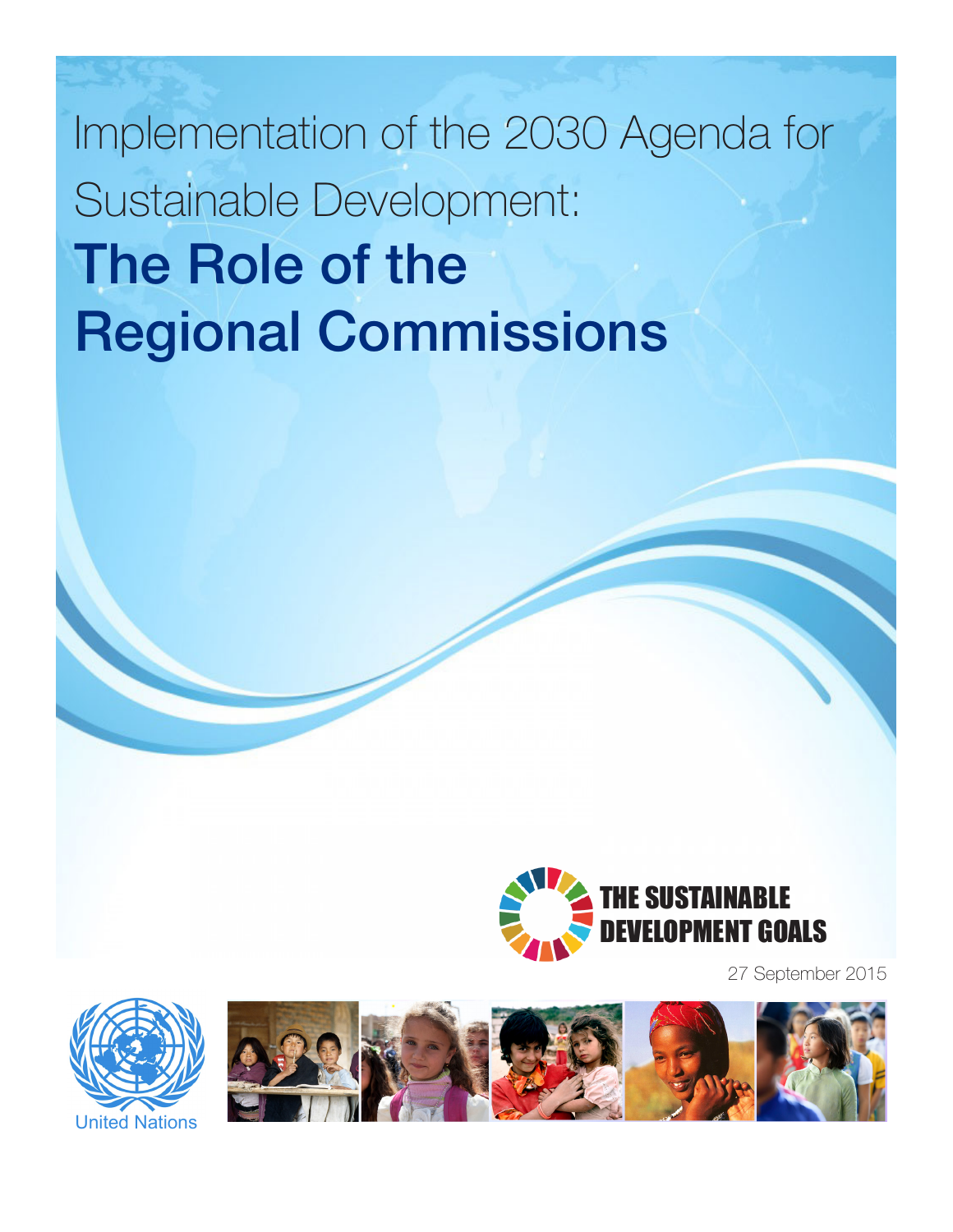Implementation of the 2030 Agenda for Sustainable Development: The Role of the Regional Commissions



27 September 2015



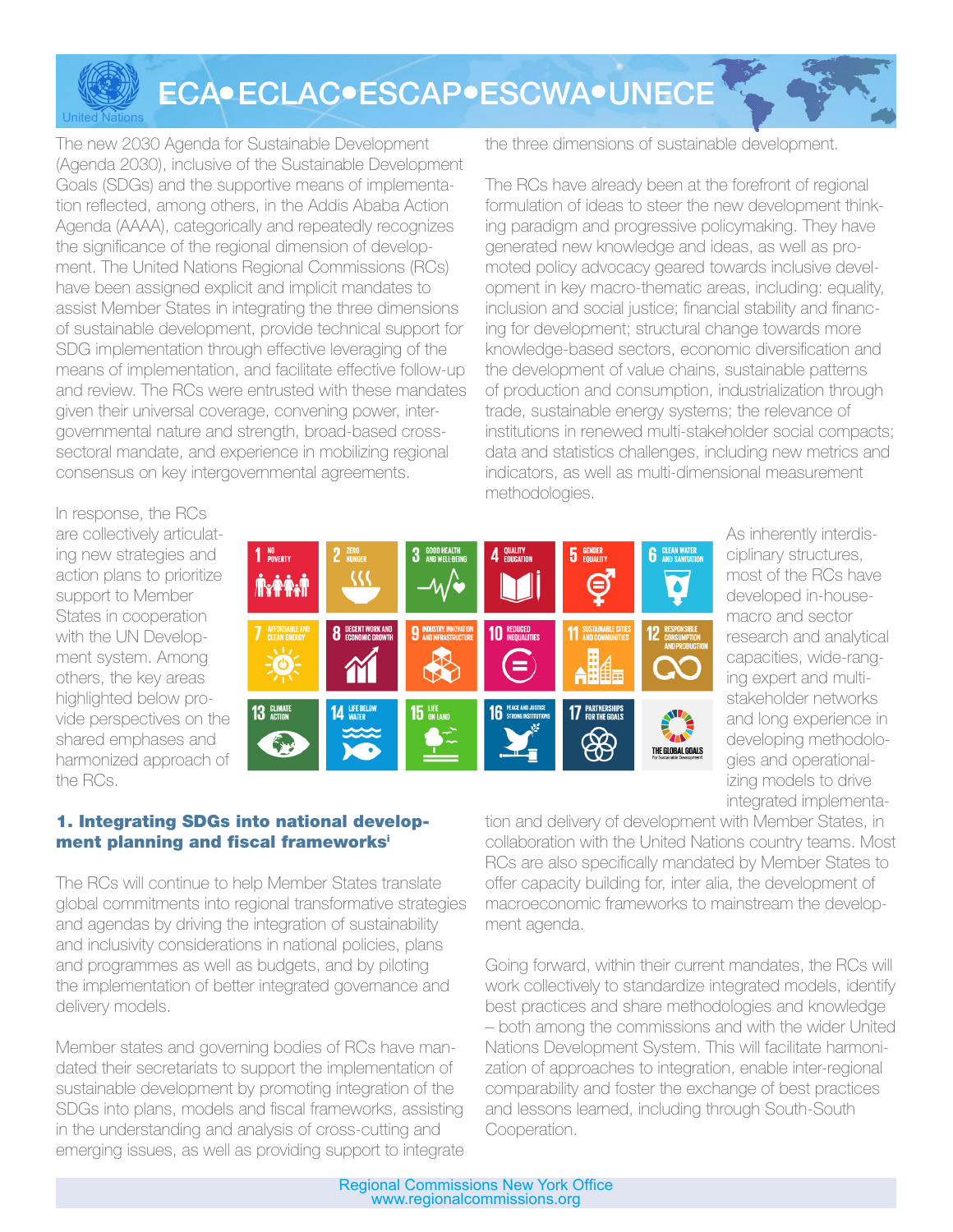ECA · ECLAC · ESCAP · ESCWA · UNECE

The new 2030 Agenda for Sustainable Development (Agenda 2030), inclusive of the Sustainable Development Goals (SDGs) and the supportive means of implementation reflected, among others, in the Addis Ababa Action Agenda (AAAA), categorically and repeatedly recognizes the significance of the regional dimension of development. The United Nations Regional Commissions (RCs) have been assigned explicit and implicit mandates to assist Member States in integrating the three dimensions of sustainable development, provide technical support for SDG implementation through effective leveraging of the means of implementation, and facilitate effective follow-up and review. The RCs were entrusted with these mandates given their universal coverage, convening power, intergovernmental nature and strength, broad-based crosssectoral mandate, and experience in mobilizing regional consensus on key intergovernmental agreements.

the three dimensions of sustainable development.

The RCs have already been at the forefront of regional formulation of ideas to steer the new development thinking paradigm and progressive policymaking. They have generated new knowledge and ideas, as well as promoted policy advocacy geared towards inclusive development in key macro-thematic areas, including: equality, inclusion and social justice; financial stability and financing for development; structural change towards more knowledge-based sectors, economic diversification and the development of value chains, sustainable patterns of production and consumption, industrialization through trade, sustainable energy systems; the relevance of institutions in renewed multi-stakeholder social compacts; data and statistics challenges, including new metrics and indicators, as well as multi-dimensional measurement methodologies.

In response, the RCs are collectively articulating new strategies and action plans to prioritize support to Member States in cooperation with the UN Development system. Among others, the key areas highlighted below provide perspectives on the shared emphases and harmonized approach of the RCs.

United Nations



As inherently interdisciplinary structures, most of the RCs have developed in-housemacro and sector research and analytical capacities, wide-ranging expert and multistakeholder networks and long experience in developing methodologies and operationalizing models to drive integrated implementa-

# 1. Integrating SDGs into national development planning and fiscal frameworks<sup>i</sup>

The RCs will continue to help Member States translate global commitments into regional transformative strategies and agendas by driving the integration of sustainability and inclusivity considerations in national policies, plans and programmes as well as budgets, and by piloting the implementation of better integrated governance and delivery models.

Member states and governing bodies of RCs have mandated their secretariats to support the implementation of sustainable development by promoting integration of the SDGs into plans, models and fiscal frameworks, assisting in the understanding and analysis of cross-cutting and emerging issues, as well as providing support to integrate

tion and delivery of development with Member States, in collaboration with the United Nations country teams. Most RCs are also specifically mandated by Member States to offer capacity building for, inter alia, the development of macroeconomic frameworks to mainstream the development agenda.

Going forward, within their current mandates, the RCs will work collectively to standardize integrated models, identify best practices and share methodologies and knowledge – both among the commissions and with the wider United Nations Development System. This will facilitate harmonization of approaches to integration, enable inter-regional comparability and foster the exchange of best practices and lessons learned, including through South-South Cooperation.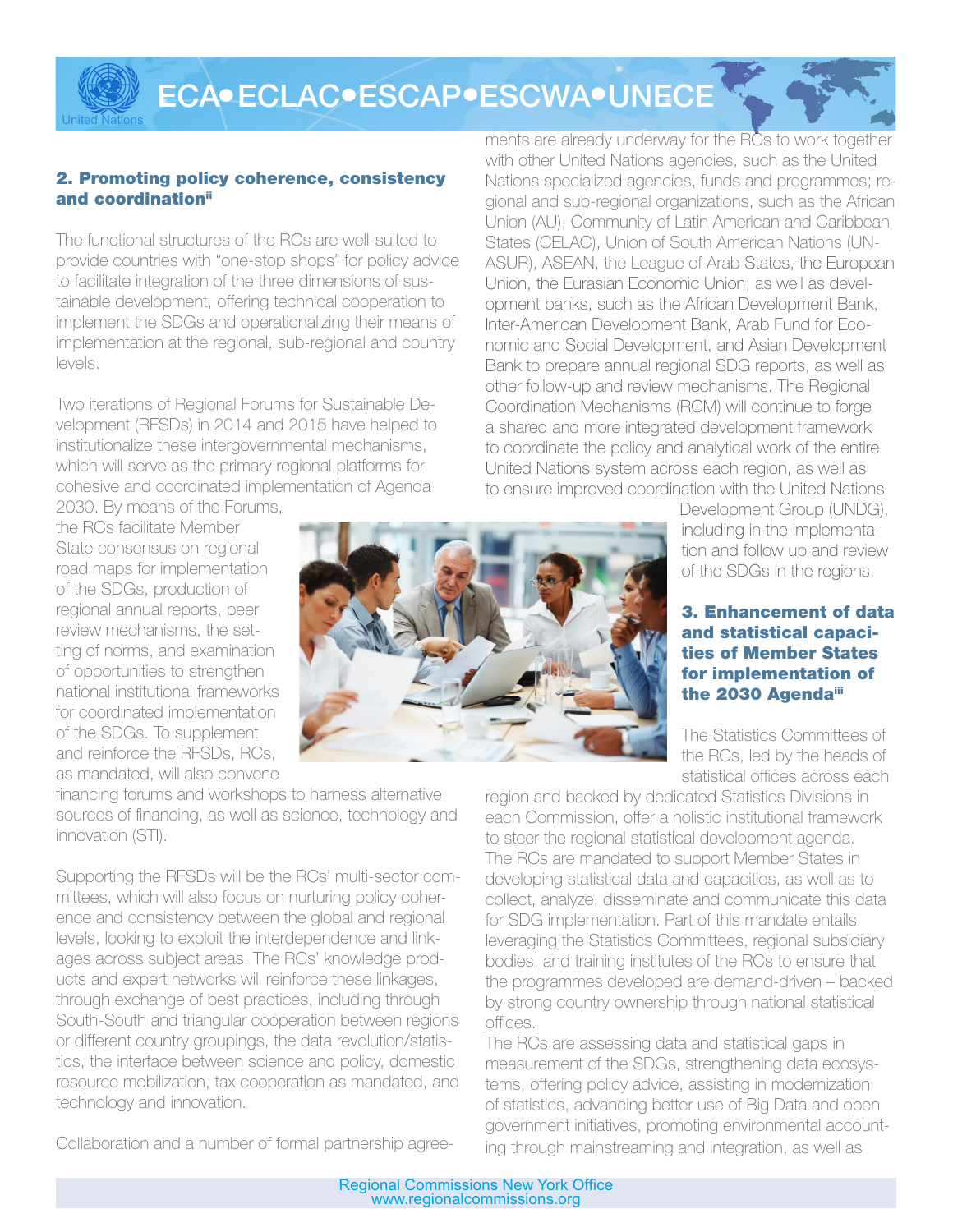ECA ECLAC ESCAP ESCWA UNECE

## 2. Promoting policy coherence, consistency and coordination<sup>ii</sup>

United Nations

The functional structures of the RCs are well-suited to provide countries with "one-stop shops" for policy advice to facilitate integration of the three dimensions of sustainable development, offering technical cooperation to implement the SDGs and operationalizing their means of implementation at the regional, sub-regional and country levels.

Two iterations of Regional Forums for Sustainable Development (RFSDs) in 2014 and 2015 have helped to institutionalize these intergovernmental mechanisms, which will serve as the primary regional platforms for cohesive and coordinated implementation of Agenda 2030. By means of the Forums,

the RCs facilitate Member State consensus on regional road maps for implementation of the SDGs, production of regional annual reports, peer review mechanisms, the setting of norms, and examination of opportunities to strengthen national institutional frameworks for coordinated implementation of the SDGs. To supplement and reinforce the RFSDs, RCs, as mandated, will also convene

financing forums and workshops to harness alternative sources of financing, as well as science, technology and innovation (STI).

Supporting the RFSDs will be the RCs' multi-sector committees, which will also focus on nurturing policy coherence and consistency between the global and regional levels, looking to exploit the interdependence and linkages across subject areas. The RCs' knowledge products and expert networks will reinforce these linkages, through exchange of best practices, including through South-South and triangular cooperation between regions or different country groupings, the data revolution/statistics, the interface between science and policy, domestic resource mobilization, tax cooperation as mandated, and technology and innovation.

Collaboration and a number of formal partnership agree-

ments are already underway for the RCs to work together with other United Nations agencies, such as the United Nations specialized agencies, funds and programmes; regional and sub-regional organizations, such as the African Union (AU), Community of Latin American and Caribbean States (CELAC), Union of South American Nations (UN-ASUR), ASEAN, the League of Arab States, the European Union, the Eurasian Economic Union; as well as development banks, such as the African Development Bank, Inter-American Development Bank, Arab Fund for Economic and Social Development, and Asian Development Bank to prepare annual regional SDG reports, as well as other follow-up and review mechanisms. The Regional Coordination Mechanisms (RCM) will continue to forge a shared and more integrated development framework to coordinate the policy and analytical work of the entire United Nations system across each region, as well as to ensure improved coordination with the United Nations

Development Group (UNDG), including in the implementation and follow up and review of the SDGs in the regions.

## 3. Enhancement of data and statistical capacities of Member States for implementation of the 2030 Agendaiii

The Statistics Committees of the RCs, led by the heads of statistical offices across each

region and backed by dedicated Statistics Divisions in each Commission, offer a holistic institutional framework to steer the regional statistical development agenda. The RCs are mandated to support Member States in developing statistical data and capacities, as well as to collect, analyze, disseminate and communicate this data for SDG implementation. Part of this mandate entails leveraging the Statistics Committees, regional subsidiary bodies, and training institutes of the RCs to ensure that the programmes developed are demand-driven – backed by strong country ownership through national statistical offices.

The RCs are assessing data and statistical gaps in measurement of the SDGs, strengthening data ecosystems, offering policy advice, assisting in modernization of statistics, advancing better use of Big Data and open government initiatives, promoting environmental accounting through mainstreaming and integration, as well as

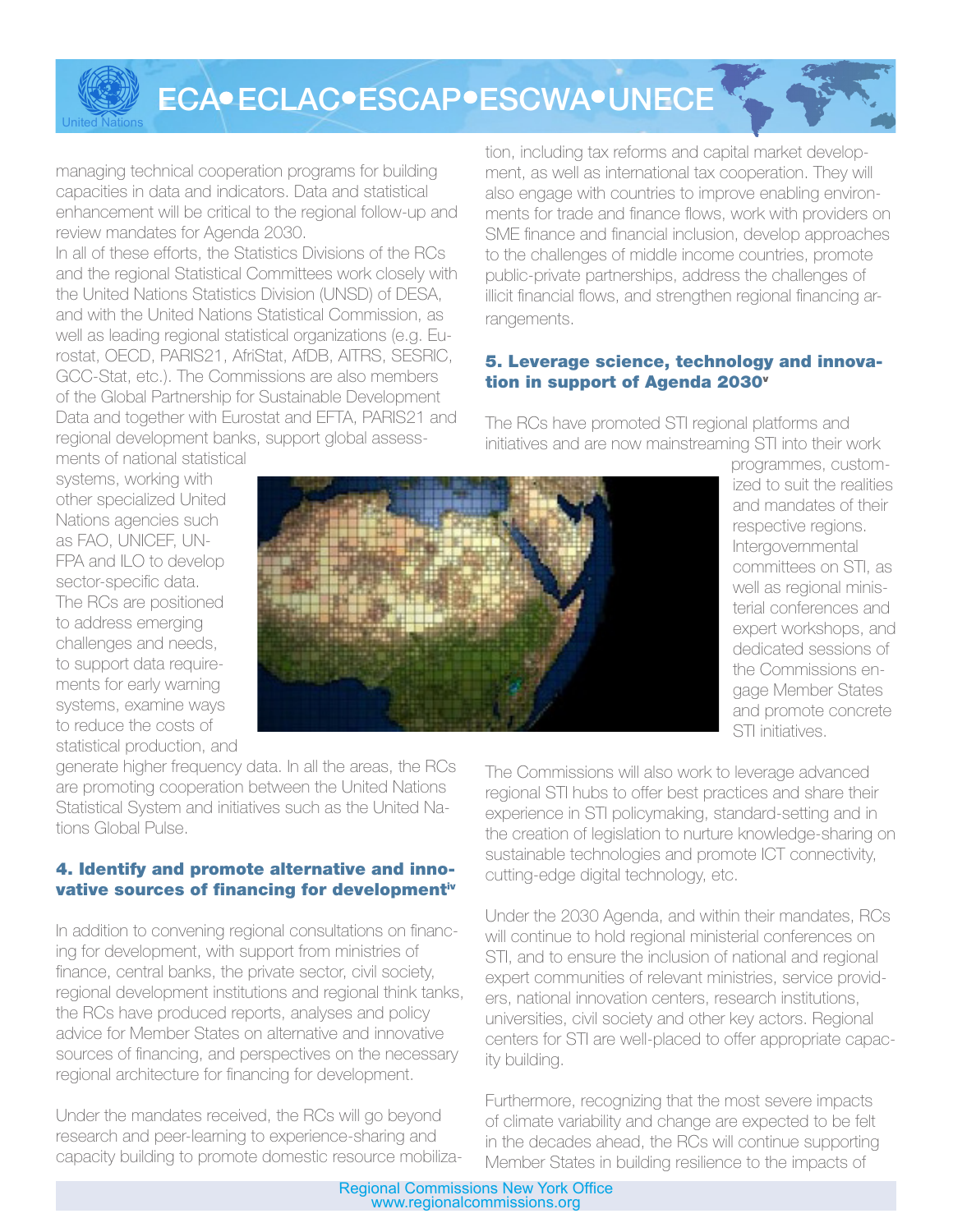ECA · ECLAC · ESCAP · ESCWA · UNECE

managing technical cooperation programs for building capacities in data and indicators. Data and statistical enhancement will be critical to the regional follow-up and review mandates for Agenda 2030.

In all of these efforts, the Statistics Divisions of the RCs and the regional Statistical Committees work closely with the United Nations Statistics Division (UNSD) of DESA, and with the United Nations Statistical Commission, as well as leading regional statistical organizations (e.g. Eurostat, OECD, PARIS21, AfriStat, AfDB, AITRS, SESRIC, GCC-Stat, etc.). The Commissions are also members of the Global Partnership for Sustainable Development Data and together with Eurostat and EFTA, PARIS21 and regional development banks, support global assessments of national statistical

tion, including tax reforms and capital market development, as well as international tax cooperation. They will also engage with countries to improve enabling environments for trade and finance flows, work with providers on SME finance and financial inclusion, develop approaches to the challenges of middle income countries, promote public-private partnerships, address the challenges of illicit financial flows, and strengthen regional financing arrangements.

# 5. Leverage science, technology and innovation in support of Agenda 2030<sup>v</sup>

The RCs have promoted STI regional platforms and initiatives and are now mainstreaming STI into their work

systems, working with other specialized United Nations agencies such as FAO, UNICEF, UN-FPA and ILO to develop sector-specific data. The RCs are positioned to address emerging challenges and needs, to support data requirements for early warning systems, examine ways to reduce the costs of statistical production, and

United Nations



programmes, customized to suit the realities and mandates of their respective regions. Intergovernmental committees on STI, as well as regional ministerial conferences and expert workshops, and dedicated sessions of the Commissions engage Member States and promote concrete STI initiatives.

generate higher frequency data. In all the areas, the RCs are promoting cooperation between the United Nations Statistical System and initiatives such as the United Nations Global Pulse.

## 4. Identify and promote alternative and innovative sources of financing for developmentiv

In addition to convening regional consultations on financing for development, with support from ministries of finance, central banks, the private sector, civil society, regional development institutions and regional think tanks, the RCs have produced reports, analyses and policy advice for Member States on alternative and innovative sources of financing, and perspectives on the necessary regional architecture for financing for development.

Under the mandates received, the RCs will go beyond research and peer-learning to experience-sharing and capacity building to promote domestic resource mobiliza-

The Commissions will also work to leverage advanced regional STI hubs to offer best practices and share their experience in STI policymaking, standard-setting and in the creation of legislation to nurture knowledge-sharing on sustainable technologies and promote ICT connectivity, cutting-edge digital technology, etc.

Under the 2030 Agenda, and within their mandates, RCs will continue to hold regional ministerial conferences on STI, and to ensure the inclusion of national and regional expert communities of relevant ministries, service providers, national innovation centers, research institutions, universities, civil society and other key actors. Regional centers for STI are well-placed to offer appropriate capacity building.

Furthermore, recognizing that the most severe impacts of climate variability and change are expected to be felt in the decades ahead, the RCs will continue supporting Member States in building resilience to the impacts of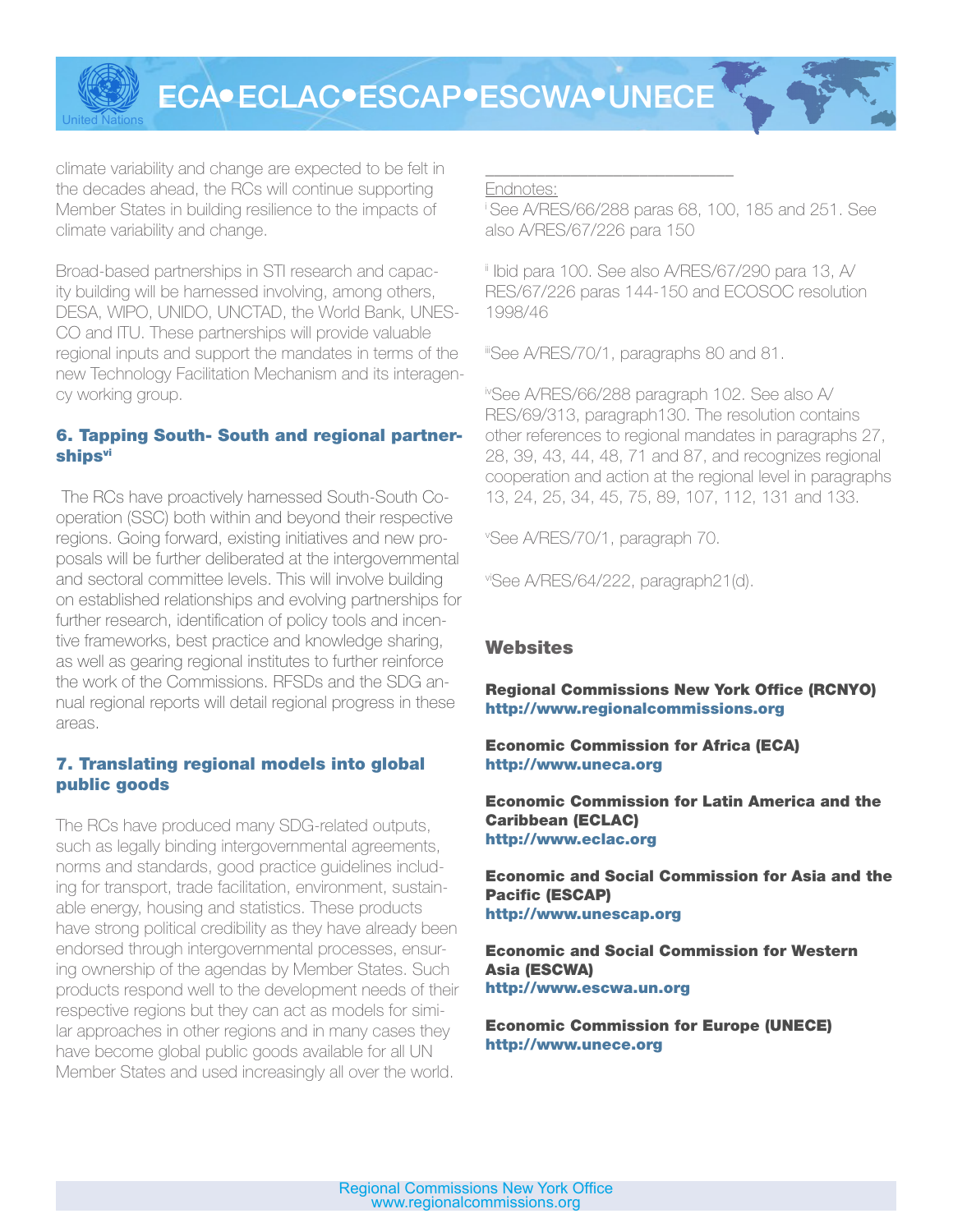ECA ECLAC ESCAP ESCWA UNECE

climate variability and change are expected to be felt in the decades ahead, the RCs will continue supporting Member States in building resilience to the impacts of climate variability and change.

United Nations

Broad-based partnerships in STI research and capacity building will be harnessed involving, among others, DESA, WIPO, UNIDO, UNCTAD, the World Bank, UNES-CO and ITU. These partnerships will provide valuable regional inputs and support the mandates in terms of the new Technology Facilitation Mechanism and its interagency working group.

## 6. Tapping South- South and regional partnerships<sup>vi</sup>

The RCs have proactively harnessed South-South Cooperation (SSC) both within and beyond their respective regions. Going forward, existing initiatives and new proposals will be further deliberated at the intergovernmental and sectoral committee levels. This will involve building on established relationships and evolving partnerships for further research, identification of policy tools and incentive frameworks, best practice and knowledge sharing, as well as gearing regional institutes to further reinforce the work of the Commissions. RFSDs and the SDG annual regional reports will detail regional progress in these areas.

## 7. Translating regional models into global public goods

The RCs have produced many SDG-related outputs, such as legally binding intergovernmental agreements, norms and standards, good practice guidelines including for transport, trade facilitation, environment, sustainable energy, housing and statistics. These products have strong political credibility as they have already been endorsed through intergovernmental processes, ensuring ownership of the agendas by Member States. Such products respond well to the development needs of their respective regions but they can act as models for similar approaches in other regions and in many cases they have become global public goods available for all UN Member States and used increasingly all over the world.

#### \_\_\_\_\_\_\_\_\_\_\_\_\_\_\_\_\_\_\_\_\_\_\_\_\_\_\_\_\_ Endnotes:

i See A/RES/66/288 paras 68, 100, 185 and 251. See also A/RES/67/226 para 150

ii Ibid para 100. See also A/RES/67/290 para 13, A/ RES/67/226 paras 144-150 and ECOSOC resolution 1998/46

iiiSee A/RES/70/1, paragraphs 80 and 81.

ivSee A/RES/66/288 paragraph 102. See also A/ RES/69/313, paragraph130. The resolution contains other references to regional mandates in paragraphs 27, 28, 39, 43, 44, 48, 71 and 87, and recognizes regional cooperation and action at the regional level in paragraphs 13, 24, 25, 34, 45, 75, 89, 107, 112, 131 and 133.

v See A/RES/70/1, paragraph 70.

viSee A/RES/64/222, paragraph21(d).

## **Websites**

Regional Commissions New York Office (RCNYO) http://www.regionalcommissions.org

Economic Commission for Africa (ECA) http://www.uneca.org

Economic Commission for Latin America and the Caribbean (ECLAC) http://www.eclac.org

Economic and Social Commission for Asia and the Pacific (ESCAP) http://www.unescap.org

Economic and Social Commission for Western Asia (ESCWA) http://www.escwa.un.org

Economic Commission for Europe (UNECE) http://www.unece.org